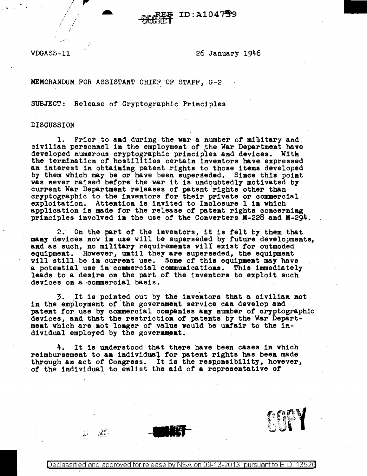WDGASS-11

26 January 1946

ID: A104759

MEMORANDUM FOR ASSISTANT CHIEF OF STAFF, G-2

SUBJECT: Release of Cryptographic Principles

## **DISCUSSION**

1. Prior to and during the war a number of military and civilian personael in the employment of the War Department have developed numerous cryptographic principles and devices. With the termination of hostilities certain inventors have expressed an interest in obtaining patent rights to those items developed by them which may be or have been superseded. Since this point was never raised before the war it is undoubtedly motivated by current War Department releases of patent rights other than cryptographic to the inventors for their private or commercial exploitation. Attention is invited to Inclosure 1 in which application is made for the release of patent rights concerning principles involved in the use of the Converters M-228 and M-294.

On the part of the inventors, it is felt by them that 2. many devices now in use will be superseded by future developments. and as such, no military requirements will exist for outmoded equipment. However, until they are superseded, the equipment will still be in current use. Some of this equipment may have a potential use in commercial communications. This immediately leads to a desire on the part of the inventors to exploit such devices on a commercial basis.

3. It is pointed out by the inventors that a civilian not in the employment of the government service can develop and patent for use by commercial companies any number of cryptographic devices, and that the restriction of patents by the War Department which are not longer of value would be unfair to the individual employed by the government.

4. It is understood that there have been cases in which reimbursement to an individual for patent rights has been made through an act of Congress. It is the responsibility, however, of the individual to emlist the aid of a representative of



Declassified and approved for release by NSA on 09-13-2013 pursuant to E.O. 13520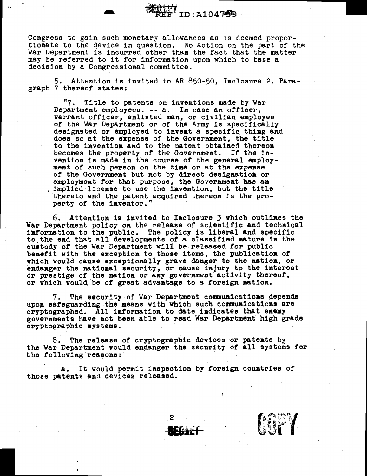Congress to gain such monetary allowances as is deemed propor- tionate to the device in question. No action on the part of the War Department is incurred other than the fact that the matter may be referred to it for information upon which to base a decision by a Congressional committee.

ID: A104799

5. Attention is invited to AR 850-50, Iaclosure 2. Paragraph 7 thereof states:

"7. Title to patents on inventions made by War Department employees. -- a. Ia case an officer, warrant officer, enlisted man, or civilian employee of the War Department or of the Army is specifically designated or employed to invent a specific thing and does so at the expense of the Government, the title to the 1nventioa and to the patent obtained thereon becomes the property of the Government. If the invention is made in the course of the general employ-ment of such person on the time or at the expense of the Government but not by direct designation or employment for that purpose, the Government has an implied license to use the invention, but the title thereto and the patent acquired thereon is the property of the inventor."

 $6.$  Attention is invited to Inclosure  $3$  which outlines the War Department policy on the release of scientific and technical iatormation to the public. The policy is liberal and specific to the end that all developments of a classified mature in the custody of the War Department will be released for public benefit with the exception to those items, the publication of which would cause exceptionally grave danger to the mation, or endanger the national security, or cause injury to the interest or prestige of the matioa or any government activity thereof, or which would be of great advantage to a foreign mation.

7. The security of War Department commuaicatioas depends upon safeguarding the means with which such communications are crrptographed. All iaformation to date indicates that eaemy governments have aot been able to read War Department high grade cryptographic systems.

The release of cryptographic devices or patents by the War Department would endanger the security of all systems for the following reasons:

2

a. It would permit inspection by foreign couatries or those patents and devices released.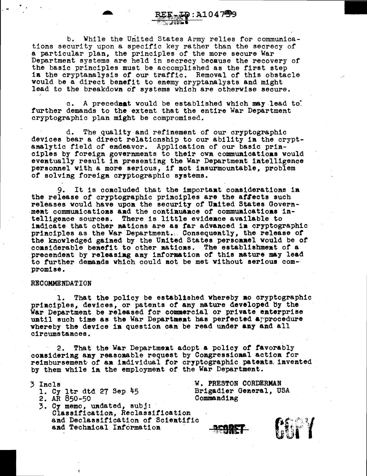b. While the United States Army relies for communications security upon a specific key rather than the secrecy of a particular plan, the principles of the more secure War Department systems are held in secrecy because the recovery of the basic principles must be accomplished as the first step in the cryptanalysis of our traffic. Removal of this obstacle would be a direct benefit to enemy cryptanalysts and might lead to the breakdown of systems which are otherwise secure.

ID:A1047599

c. A precedaat would be established which may.lead to: further demands to the extent that the entire War Department cryptographic plan might be compromised.

d. The quality and refinement of our cryptographic<br>devices bear a direct relationship to our ability in the crypt-<br>analytic field of endeavor. Application of our basic prin-<br>ciples by foreign governments to their own commu personnel with a more serious, if not insurmountable, problem of solving foreign cryptographic systems.

It is concluded that the important considerations in the release of cryptographic principles are the affects such releases would have upoa the security of Uaited States Govern- .meat commuaicatioas aad the contiauaace or commuaicatioas intelligence sources. There is little evidence available to indicate that other nations are as far advanced in cryptographic principles as the War Department. Consequently, the release of the knowledged gained by the United States personnel would be of considerable benefit to other nations. The establishment of a precendent by releasiag any information or this aature may lead to further demands which could not be met without serious compromise.

## RECOMMENDATION

1. That the policy be established whereby no cryptographic principles, devices, or patents of any nature developed by the War Department be released for commercial or private enterprise until such time as the War Department has perfected approcedure whereby the device in question can be read under any and all circumstances.

2. That the War Departmeat adopt a policy *of* favorably coasideriag any reaso.able request by Coagressioaal actioa for reimbursement of an individual for cryptographic patents. invented by them while in the employment of the War Department.

3 !nels

- 1. Cy ltr dtd 27 Sep 45
- 2. AR 850-50
- 3. Cy memo, uadated, subj: Classificatioa, Reclassification and Declassification or Scieatific and Technical Information

W. PRESTON CORDERMAN Brigadier General, USA Commandiag

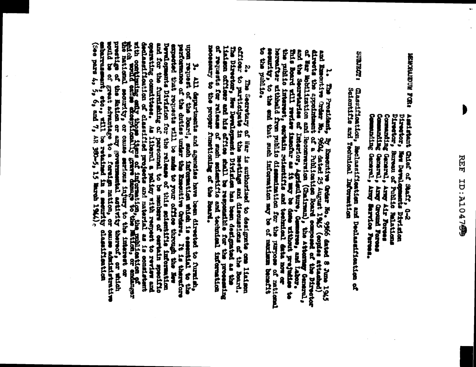b

**PUDAL REGENERENCE** Director, New Developments Divindon<br>Director, Bureau of Public Nalations<br>Commaning General, Army Air Poress<br>Commaning General, Army Ground Foress Commanding General, Arny Sarvice Feresa. Director, Assistant Gilef of Saaff, G-2

**SUBJECT: Chassification, Rechassification and Declassification of**<br>Scientific and Technical Daformaticn

1. The Prodiant, By Ementive Grier No. 9566 dated 8 June 1945 dates of the companies of the companies of the companies of the structure of a Philication Content 1945 (companies) discussions at the properties of interior a of may and a

2. The Secretary of War is uniformed to designate can liaison official control of the particle of the particle in the particle in the method and discussions of the board.<br>The Director, New Developments Dirinten has been de necessary to the proper functioning of the Beard. of requests for release of such sudentific and technical information

expected that requests will be made to your office through the Reportive contribution and for the further of distribution for the relation for the relation for the relation for the relation for the relation of classified 3. All departments and achent evaluate beau director to furnitum of the manufacture of the Bonne of the back of the state of the direct of the state of the state of the state of the state of the state of the state of the s